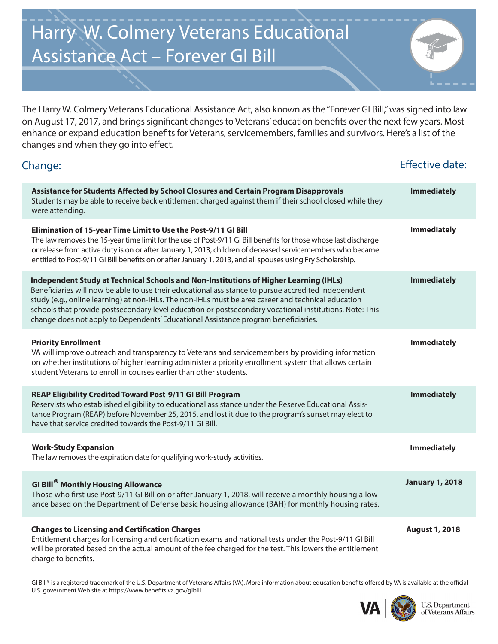## Harry W. Colmery Veterans Educational Assistance Act – Forever GI Bill

The Harry W. Colmery Veterans Educational Assistance Act, also known as the "Forever GI Bill," was signed into law on August 17, 2017, and brings significant changes to Veterans' education benefits over the next few years. Most enhance or expand education benefits for Veterans, servicemembers, families and survivors. Here's a list of the changes and when they go into effect.

| Change:                                                                                                                                                                                                                                                                                                                                                                                                                                                                                              | <b>Effective date:</b> |
|------------------------------------------------------------------------------------------------------------------------------------------------------------------------------------------------------------------------------------------------------------------------------------------------------------------------------------------------------------------------------------------------------------------------------------------------------------------------------------------------------|------------------------|
| Assistance for Students Affected by School Closures and Certain Program Disapprovals<br>Students may be able to receive back entitlement charged against them if their school closed while they<br>were attending.                                                                                                                                                                                                                                                                                   | <b>Immediately</b>     |
| Elimination of 15-year Time Limit to Use the Post-9/11 GI Bill<br>The law removes the 15-year time limit for the use of Post-9/11 GI Bill benefits for those whose last discharge<br>or release from active duty is on or after January 1, 2013, children of deceased servicemembers who became<br>entitled to Post-9/11 GI Bill benefits on or after January 1, 2013, and all spouses using Fry Scholarship.                                                                                        | <b>Immediately</b>     |
| Independent Study at Technical Schools and Non-Institutions of Higher Learning (IHLs)<br>Beneficiaries will now be able to use their educational assistance to pursue accredited independent<br>study (e.g., online learning) at non-IHLs. The non-IHLs must be area career and technical education<br>schools that provide postsecondary level education or postsecondary vocational institutions. Note: This<br>change does not apply to Dependents' Educational Assistance program beneficiaries. | <b>Immediately</b>     |
| <b>Priority Enrollment</b><br>VA will improve outreach and transparency to Veterans and servicemembers by providing information<br>on whether institutions of higher learning administer a priority enrollment system that allows certain<br>student Veterans to enroll in courses earlier than other students.                                                                                                                                                                                      | <b>Immediately</b>     |
| REAP Eligibility Credited Toward Post-9/11 GI Bill Program<br>Reservists who established eligibility to educational assistance under the Reserve Educational Assis-<br>tance Program (REAP) before November 25, 2015, and lost it due to the program's sunset may elect to<br>have that service credited towards the Post-9/11 GI Bill.                                                                                                                                                              | <b>Immediately</b>     |
| <b>Work-Study Expansion</b><br>The law removes the expiration date for qualifying work-study activities.                                                                                                                                                                                                                                                                                                                                                                                             | <b>Immediately</b>     |
| <b>GI Bill<sup>®</sup> Monthly Housing Allowance</b><br>Those who first use Post-9/11 GI Bill on or after January 1, 2018, will receive a monthly housing allow-<br>ance based on the Department of Defense basic housing allowance (BAH) for monthly housing rates.                                                                                                                                                                                                                                 | <b>January 1, 2018</b> |
| <b>Changes to Licensing and Certification Charges</b><br>Entitlement charges for licensing and certification exams and national tests under the Post-9/11 GI Bill<br>will be prorated based on the actual amount of the fee charged for the test. This lowers the entitlement<br>charge to benefits.                                                                                                                                                                                                 | <b>August 1, 2018</b>  |

GI Bill® is a registered trademark of the U.S. Department of Veterans Affairs (VA). More information about education benefits offered by VA is available at the official U.S. government Web site at https://www.benefits.va.gov/gibill.



**U.S. Department** of Veterans Affairs